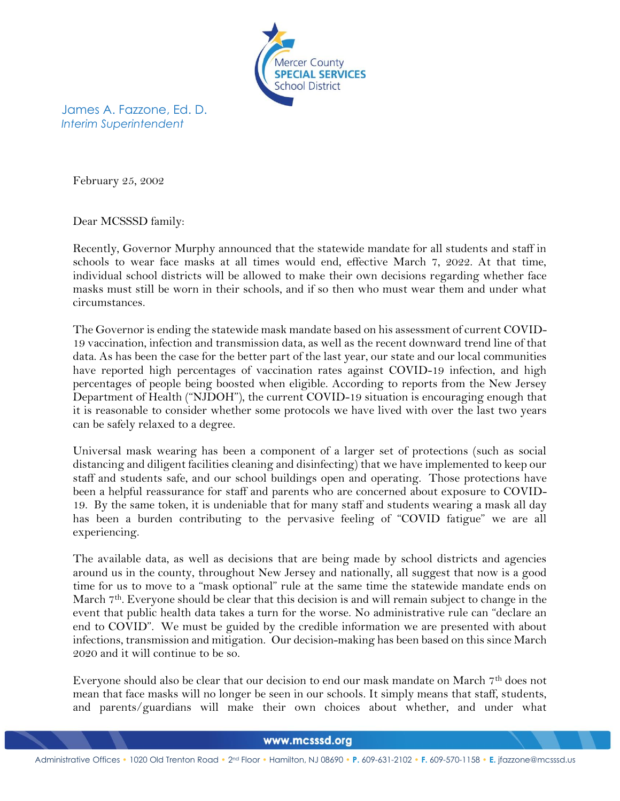

James A. Fazzone, Ed. D. *Interim Superintendent*

February 25, 2002

Dear MCSSSD family:

Recently, Governor Murphy announced that the statewide mandate for all students and staff in schools to wear face masks at all times would end, effective March 7, 2022. At that time, individual school districts will be allowed to make their own decisions regarding whether face masks must still be worn in their schools, and if so then who must wear them and under what circumstances.

The Governor is ending the statewide mask mandate based on his assessment of current COVID-19 vaccination, infection and transmission data, as well as the recent downward trend line of that data. As has been the case for the better part of the last year, our state and our local communities have reported high percentages of vaccination rates against COVID-19 infection, and high percentages of people being boosted when eligible. According to reports from the New Jersey Department of Health ("NJDOH"), the current COVID-19 situation is encouraging enough that it is reasonable to consider whether some protocols we have lived with over the last two years can be safely relaxed to a degree.

Universal mask wearing has been a component of a larger set of protections (such as social distancing and diligent facilities cleaning and disinfecting) that we have implemented to keep our staff and students safe, and our school buildings open and operating. Those protections have been a helpful reassurance for staff and parents who are concerned about exposure to COVID-19. By the same token, it is undeniable that for many staff and students wearing a mask all day has been a burden contributing to the pervasive feeling of "COVID fatigue" we are all experiencing.

The available data, as well as decisions that are being made by school districts and agencies around us in the county, throughout New Jersey and nationally, all suggest that now is a good time for us to move to a "mask optional" rule at the same time the statewide mandate ends on March 7th. Everyone should be clear that this decision is and will remain subject to change in the event that public health data takes a turn for the worse. No administrative rule can "declare an end to COVID". We must be guided by the credible information we are presented with about infections, transmission and mitigation. Our decision-making has been based on this since March 2020 and it will continue to be so.

Everyone should also be clear that our decision to end our mask mandate on March 7th does not mean that face masks will no longer be seen in our schools. It simply means that staff, students, and parents/guardians will make their own choices about whether, and under what